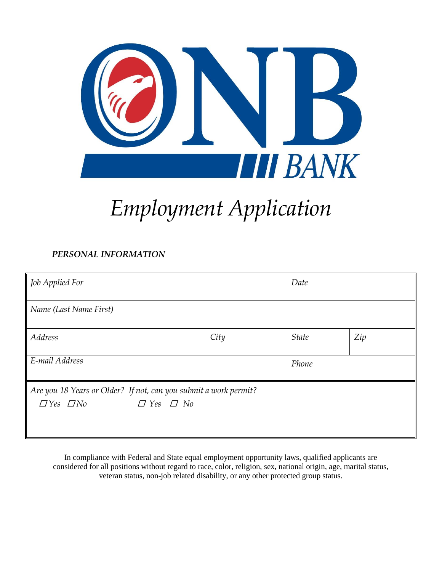

# *Employment Application*

### *PERSONAL INFORMATION*

| Job Applied For                                                                                                  |      | Date         |     |
|------------------------------------------------------------------------------------------------------------------|------|--------------|-----|
| Name (Last Name First)                                                                                           |      |              |     |
| <b>Address</b>                                                                                                   | City | <b>State</b> | Zip |
| E-mail Address                                                                                                   |      | Phone        |     |
| Are you 18 Years or Older? If not, can you submit a work permit?<br>$\Box$ Yes $\Box$ No<br>$\Box$ Yes $\Box$ No |      |              |     |

In compliance with Federal and State equal employment opportunity laws, qualified applicants are considered for all positions without regard to race, color, religion, sex, national origin, age, marital status, veteran status, non-job related disability, or any other protected group status.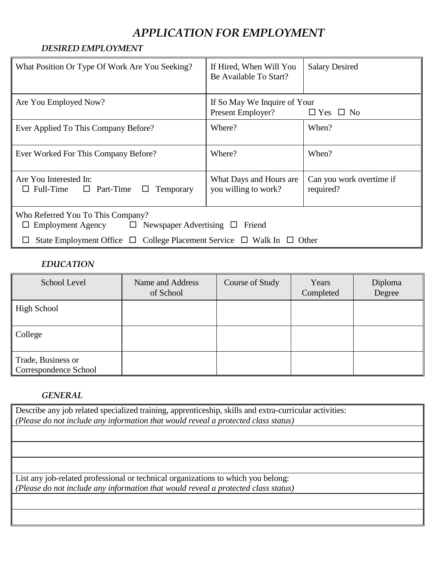## *APPLICATION FOR EMPLOYMENT*

#### *DESIRED EMPLOYMENT*

| What Position Or Type Of Work Are You Seeking?                                                              | If Hired, When Will You<br>Be Available To Start? | <b>Salary Desired</b>                 |  |
|-------------------------------------------------------------------------------------------------------------|---------------------------------------------------|---------------------------------------|--|
| Are You Employed Now?                                                                                       | If So May We Inquire of Your<br>Present Employer? | $\Box$ Yes $\Box$ No                  |  |
| Ever Applied To This Company Before?                                                                        | Where?                                            | When?                                 |  |
| Ever Worked For This Company Before?                                                                        | Where?                                            | When?                                 |  |
| Are You Interested In:<br>$\Box$ Full-Time $\Box$ Part-Time<br>∟<br>Temporary                               | What Days and Hours are<br>you willing to work?   | Can you work overtime if<br>required? |  |
| Who Referred You To This Company?<br>Employment Agency $\Box$ Newspaper Advertising $\Box$ Friend<br>$\Box$ |                                                   |                                       |  |
| State Employment Office $\Box$ College Placement Service $\Box$ Walk In $\Box$ Other                        |                                                   |                                       |  |

#### *EDUCATION*

| School Level                                | Name and Address<br>of School | Course of Study | Years<br>Completed | Diploma<br>Degree |
|---------------------------------------------|-------------------------------|-----------------|--------------------|-------------------|
| High School                                 |                               |                 |                    |                   |
| College                                     |                               |                 |                    |                   |
| Trade, Business or<br>Correspondence School |                               |                 |                    |                   |

#### *GENERAL*

Describe any job related specialized training, apprenticeship, skills and extra-curricular activities: *(Please do not include any information that would reveal a protected class status)*

List any job-related professional or technical organizations to which you belong: *(Please do not include any information that would reveal a protected class status)*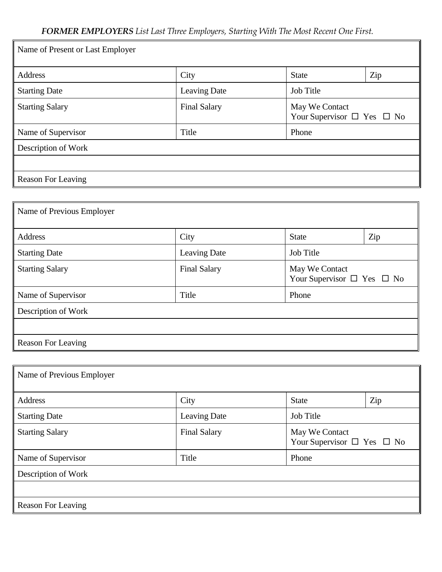| Name of Present or Last Employer |                     |                                                        |     |
|----------------------------------|---------------------|--------------------------------------------------------|-----|
| Address                          | City                | <b>State</b>                                           | Zip |
| <b>Starting Date</b>             | Leaving Date        | Job Title                                              |     |
| <b>Starting Salary</b>           | <b>Final Salary</b> | May We Contact<br>Your Supervisor $\Box$ Yes $\Box$ No |     |
| Name of Supervisor               | Title               | Phone                                                  |     |
| Description of Work              |                     |                                                        |     |
|                                  |                     |                                                        |     |
| <b>Reason For Leaving</b>        |                     |                                                        |     |

| Name of Previous Employer |                     |                                                        |     |
|---------------------------|---------------------|--------------------------------------------------------|-----|
| Address                   | City                | <b>State</b>                                           | Zip |
| <b>Starting Date</b>      | Leaving Date        | <b>Job Title</b>                                       |     |
| <b>Starting Salary</b>    | <b>Final Salary</b> | May We Contact<br>Your Supervisor $\Box$ Yes $\Box$ No |     |
| Name of Supervisor        | Title               | Phone                                                  |     |
| Description of Work       |                     |                                                        |     |
|                           |                     |                                                        |     |
| Reason For Leaving        |                     |                                                        |     |

| Name of Previous Employer |                     |                  |                                      |
|---------------------------|---------------------|------------------|--------------------------------------|
| Address                   | City                | <b>State</b>     | Zip                                  |
| <b>Starting Date</b>      | Leaving Date        | <b>Job Title</b> |                                      |
| <b>Starting Salary</b>    | <b>Final Salary</b> | May We Contact   | Your Supervisor $\Box$ Yes $\Box$ No |
| Name of Supervisor        | Title               | Phone            |                                      |
| Description of Work       |                     |                  |                                      |
|                           |                     |                  |                                      |
| Reason For Leaving        |                     |                  |                                      |